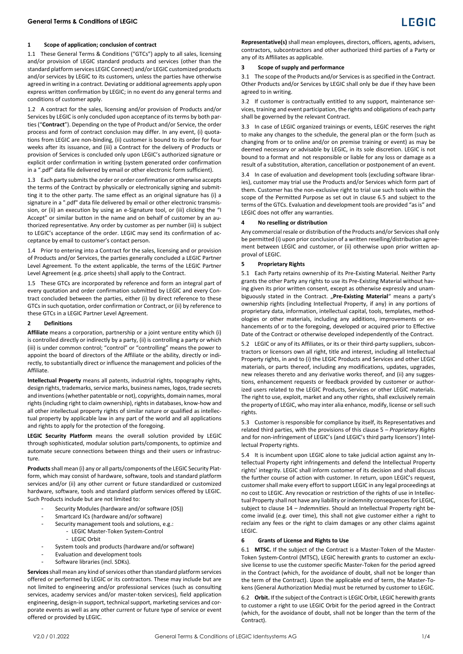1.1 These General Terms & Conditions ("GTCs") apply to all sales, licensing and/or provision of LEGIC standard products and services (other than the standard platform services LEGIC Connect) and/or LEGIC customized products and/or services by LEGIC to its customers, unless the parties have otherwise agreed in writing in a contract. Deviating or additional agreements apply upon express written confirmation by LEGIC; in no event do any general terms and conditions of customer apply.

<span id="page-0-2"></span>1.2 A contract for the sales, licensing and/or provision of Products and/or Services by LEGIC is only concluded upon acceptance of its terms by both parties ("**Contract**"). Depending on the type of Product and/or Service, the order process and form of contract conclusion may differ. In any event, (i) quotations from LEGIC are non-binding, (ii) customer is bound to its order for four weeks after its issuance, and (iii) a Contract for the delivery of Products or provision of Services is concluded only upon LEGIC's authorized signature or explicit order confirmation in writing (system generated order confirmation in a ".pdf" data file delivered by email or other electronic form sufficient).

1.3 Each party submits the order or order confirmation or otherwise accepts the terms of the Contract by physically or electronically signing and submitting it to the other party. The same effect as an original signature has (i) a signature in a ".pdf" data file delivered by email or other electronic transmission, or (ii) an execution by using an e-Signature tool, or (iii) clicking the "I Accept" or similar button in the name and on behalf of customer by an authorized representative. Any order by customer as per number (iii) is subject to LEGIC's acceptance of the order. LEGIC may send its confirmation of acceptance by email to customer's contact person.

1.4 Prior to entering into a Contract for the sales, licensing and or provision of Products and/or Services, the parties generally concluded a LEGIC Partner Level Agreement. To the extent applicable, the terms of the LEGIC Partner Level Agreement (e.g. price sheets) shall apply to the Contract.

1.5 These GTCs are incorporated by reference and form an integral part of every quotation and order confirmation submitted by LEGIC and every Contract concluded between the parties, either (i) by direct reference to these GTCs in such quotation, order confirmation or Contract, or (ii) by reference to these GTCs in a LEGIC Partner Level Agreement.

### **2 Definitions**

**Affiliate** means a corporation, partnership or a joint venture entity which (i) is controlled directly or indirectly by a party, (ii) is controlling a party or which (iii) is under common control; "control" or "controlling" means the power to appoint the board of directors of the Affiliate or the ability, directly or indirectly, to substantially direct or influence the management and policies of the Affiliate.

**Intellectual Property** means all patents, industrial rights, topography rights, design rights, trademarks, service marks, business names, logos, trade secrets and inventions (whether patentable or not), copyrights, domain names, moral rights (including right to claim ownership), rights in databases, know-how and all other intellectual property rights of similar nature or qualified as intellectual property by applicable law in any part of the world and all applications and rights to apply for the protection of the foregoing.

**LEGIC Security Platform** means the overall solution provided by LEGIC through sophisticated, modular solution parts/components, to optimize and automate secure connections between things and their users or infrastructure.

**Products**shall mean (i) any or all parts/components of the LEGIC Security Platform, which may consist of hardware, software, tools and standard platform services and/or (ii) any other current or future standardized or customized hardware, software, tools and standard platform services offered by LEGIC. Such Products include but are not limited to:

- Security Modules (hardware and/or software (OS))
- Smartcard ICs (hardware and/or software)
- Security management tools and solutions, e.g.:
	- LEGIC Master-Token System-Control - LEGIC Orbit
- System tools and products (hardware and/or software)
- Evaluation and development tools
- Software libraries (incl. SDKs).

**Services**shall mean any kind of services other than standard platform services offered or performed by LEGIC or its contractors. These may include but are not limited to engineering and/or professional services (such as consulting services, academy services and/or master-token services), field application engineering, design-in support, technical support, marketing services and corporate events as well as any other current or future type of service or event offered or provided by LEGIC.



**Representative(s)** shall mean employees, directors, officers, agents, advisers, contractors, subcontractors and other authorized third parties of a Party or any of its Affiliates as applicable.

# **3 Scope of supply and performance**

3.1 The scope of the Products and/or Services is as specified in the Contract. Other Products and/or Services by LEGIC shall only be due if they have been agreed to in writing.

3.2 If customer is contractually entitled to any support, maintenance services, training and event participation, the rights and obligations of each party shall be governed by the relevant Contract.

3.3 In case of LEGIC organized trainings or events, LEGIC reserves the right to make any changes to the schedule, the general plan or the form (such as changing from or to online and/or on premise training or event) as may be deemed necessary or advisable by LEGIC, in its sole discretion. LEGIC is not bound to a format and not responsible or liable for any loss or damage as a result of a substitution, alteration, cancellation or postponement of an event.

3.4 In case of evaluation and development tools (excluding software libraries), customer may trial use the Products and/or Services which form part of them. Customer has the non-exclusive right to trial use such tools within the scope of the Permitted Purpose as set out in clause 6.5 and subject to the terms of the GTCs. Evaluation and development tools are provided "as is" and LEGIC does not offer any warranties.

# <span id="page-0-1"></span>**4 No reselling or distribution**

Any commercial resale or distribution of the Products and/or Services shall only be permitted (i) upon prior conclusion of a written reselling/distribution agreement between LEGIC and customer, or (ii) otherwise upon prior written approval of LEGIC.

# <span id="page-0-0"></span>**5 Proprietary Rights**

5.1 Each Party retains ownership of its Pre-Existing Material. Neither Party grants the other Party any rights to use its Pre-Existing Material without having given its prior written consent, except as otherwise expressly and unambiguously stated in the Contract. "Pre-Existing Material" means a party's ownership rights (including Intellectual Property, if any) in any portions of proprietary data, information, intellectual capital, tools, templates, methodologies or other materials, including any additions, improvements or enhancements of or to the foregoing, developed or acquired prior to Effective Date of the Contract or otherwise developed independently of the Contract.

5.2 LEGIC or any of its Affiliates, or its or their third-party suppliers, subcontractors or licensors own all right, title and interest, including all Intellectual Property rights, in and to (i) the LEGIC Products and Services and other LEGIC materials, or parts thereof, including any modifications, updates, upgrades, new releases thereto and any derivative works thereof, and (ii) any suggestions, enhancement requests or feedback provided by customer or authorized users related to the LEGIC Products, Services or other LEGIC materials. The right to use, exploit, market and any other rights, shall exclusively remain the property of LEGIC, who may inter alia enhance, modify, license or sell such rights.

5.3 Customer is responsible for compliance by itself, its Representatives and related third parties, with the provisions of this claus[e 5](#page-0-0) *– Proprietary Rights* and for non-infringement of LEGIC's (and LEGIC's third party licensors') Intellectual Property rights.

5.4 It is incumbent upon LEGIC alone to take judicial action against any Intellectual Property right infringements and defend the Intellectual Property rights' integrity. LEGIC shall inform customer of its decision and shall discuss the further course of action with customer. In return, upon LEGIC's request, customer shall make every effort to support LEGIC in any legal proceedings at no cost to LEGIC. Any revocation or restriction of the rights of use in Intellectual Property shall not have any liability or indemnity consequences for LEGIC, subject to clause [14](#page-2-0) – *Indemnities*. Should an Intellectual Property right become invalid (e.g. over time), this shall not give customer either a right to reclaim any fees or the right to claim damages or any other claims against LEGIC.

# **6 Grants of License and Rights to Use**

6.1 **MTSC.** If the subject of the Contract is a Master-Token of the Master-Token System-Control (MTSC), LEGIC herewith grants to customer an exclusive license to use the customer specific Master-Token for the period agreed in the Contract (which, for the avoidance of doubt, shall not be longer than the term of the Contract). Upon the applicable end of term, the Master-Tokens (General Authorization Media) must be returned by customer to LEGIC.

6.2 **Orbit.** If the subject of the Contract is LEGIC Orbit, LEGIC herewith grants to customer a right to use LEGIC Orbit for the period agreed in the Contract (which, for the avoidance of doubt, shall not be longer than the term of the Contract).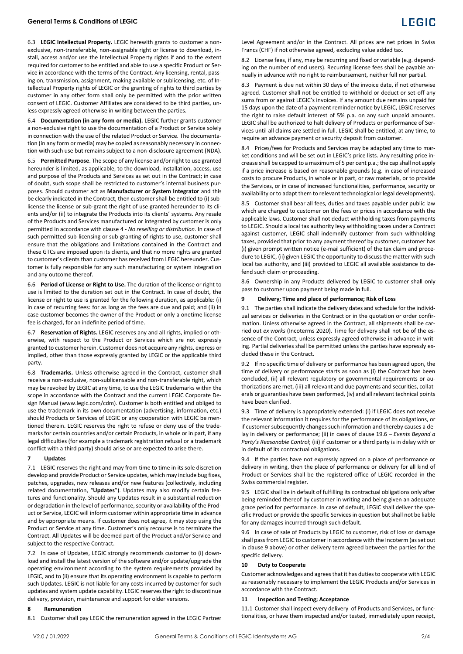# **General Terms & Conditions of LEGIC**

6.3 **LEGIC Intellectual Property.** LEGIC herewith grants to customer a nonexclusive, non-transferable, non-assignable right or license to download, install, access and/or use the Intellectual Property rights if and to the extent required for customer to be entitled and able to use a specific Product or Service in accordance with the terms of the Contract. Any licensing, rental, passing on, transmission, assignment, making available or sublicensing, etc. of Intellectual Property rights of LEGIC or the granting of rights to third parties by customer in any other form shall only be permitted with the prior written consent of LEGIC. Customer Affiliates are considered to be third parties, unless expressly agreed otherwise in writing between the parties.

6.4 **Documentation (in any form or media).** LEGIC further grants customer a non-exclusive right to use the documentation of a Product or Service solely in connection with the use of the related Product or Service. The documentation (in any form or media) may be copied as reasonably necessary in connection with such use but remains subject to a non-disclosure agreement (NDA).

6.5 **Permitted Purpose**. The scope of any license and/or right to use granted hereunder is limited, as applicable, to the download, installation, access, use and purpose of the Products and Services as set out in the Contract; in case of doubt, such scope shall be restricted to customer's internal business purposes. Should customer act as **Manufacturer or System Integrator** and this be clearly indicated in the Contract, then customer shall be entitled to (i) sublicense the license or sub-grant the right of use granted hereunder to its clients and/or (ii) to integrate the Products into its clients' systems. Any resale of the Products and Services manufactured or integrated by customer is only permitted in accordance with claus[e 4](#page-0-1) - *No reselling or distribution*. In case of such permitted sub-licensing or sub-granting of rights to use, customer shall ensure that the obligations and limitations contained in the Contract and these GTCs are imposed upon its clients, and that no more rights are granted to customer's clients than customer has received from LEGIC hereunder. Customer is fully responsible for any such manufacturing or system integration and any outcome thereof.

6.6 **Period of License or Right to Use.** The duration of the license or right to use is limited to the duration set out in the Contract. In case of doubt, the license or right to use is granted for the following duration, as applicable: (i) in case of recurring fees: for as long as the fees are due and paid; and (ii) in case customer becomes the owner of the Product or only a onetime license fee is charged, for an indefinite period of time.

6.7 **Reservation of Rights.** LEGIC reserves any and all rights, implied or otherwise, with respect to the Product or Services which are not expressly granted to customer herein. Customer does not acquire any rights, express or implied, other than those expressly granted by LEGIC or the applicable third party.

6.8 **Trademarks.** Unless otherwise agreed in the Contract, customer shall receive a non-exclusive, non-sublicensable and non-transferable right, which may be revoked by LEGIC at any time, to use the LEGIC trademarks within the scope in accordance with the Contract and the current LEGIC Corporate Design Manual (www.legic.com/cdm). Customer is both entitled and obliged to use the trademark in its own documentation (advertising, information, etc.) should Products or Services of LEGIC or any cooperation with LEGIC be mentioned therein. LEGIC reserves the right to refuse or deny use of the trademarks for certain countries and/or certain Products, in whole or in part, if any legal difficulties (for example a trademark registration refusal or a trademark conflict with a third party) should arise or are expected to arise there.

### <span id="page-1-2"></span>**7 Updates**

7.1 LEGIC reserves the right and may from time to time in its sole discretion develop and provide Product or Service updates, which may include bug fixes, patches, upgrades, new releases and/or new features (collectively, including related documentation, "**Updates**"). Updates may also modify certain features and functionality. Should any Updates result in a substantial reduction or degradation in the level of performance, security or availability of the Product or Service, LEGIC will inform customer within appropriate time in advance and by appropriate means. If customer does not agree, it may stop using the Product or Service at any time. Customer's only recourse is to terminate the Contract. All Updates will be deemed part of the Product and/or Service and subject to the respective Contract.

7.2 In case of Updates, LEGIC strongly recommends customer to (i) download and install the latest version of the software and/or update/upgrade the operating environment according to the system requirements provided by LEGIC, and to (ii) ensure that its operating environment is capable to perform such Updates. LEGIC is not liable for any costs incurred by customer for such updates and system update capability. LEGIC reserves the right to discontinue delivery, provision, maintenance and support for older versions.

## **8 Remuneration**

8.1 Customer shall pay LEGIC the remuneration agreed in the LEGIC Partner

Level Agreement and/or in the Contract. All prices are net prices in Swiss Francs (CHF) if not otherwise agreed, excluding value added tax.

8.2 License fees, if any, may be recurring and fixed or variable (e.g. depending on the number of end users). Recurring license fees shall be payable annually in advance with no right to reimbursement, neither full nor partial.

8.3 Payment is due net within 30 days of the invoice date, if not otherwise agreed. Customer shall not be entitled to withhold or deduct or set-off any sums from or against LEGIC's invoices. If any amount due remains unpaid for 15 days upon the date of a payment reminder notice by LEGIC, LEGIC reserves the right to raise default interest of 5% p.a. on any such unpaid amounts. LEGIC shall be authorized to halt delivery of Products or performance of Services until all claims are settled in full. LEGIC shall be entitled, at any time, to require an advance payment or security deposit from customer.

8.4 Prices/fees for Products and Services may be adapted any time to market conditions and will be set out in LEGIC's price lists. Any resulting price increase shall be capped to a maximum of 5 per cent p.a.; the cap shall not apply if a price increase is based on reasonable grounds (e.g. in case of increased costs to procure Products, in whole or in part, or raw materials, or to provide the Services, or in case of increased functionalities, performance, security or availability or to adapt them to relevant technological or legal developments).

8.5 Customer shall bear all fees, duties and taxes payable under public law which are charged to customer on the fees or prices in accordance with the applicable laws. Customer shall not deduct withholding taxes from payments to LEGIC. Should a local tax authority levy withholding taxes under a Contract against customer, LEGIC shall indemnify customer from such withholding taxes, provided that prior to any payment thereof by customer, customer has (i) given prompt written notice (e-mail sufficient) of the tax claim and procedure to LEGIC, (ii) given LEGIC the opportunity to discuss the matter with such local tax authority, and (iii) provided to LEGIC all available assistance to defend such claim or proceeding.

8.6 Ownership in any Products delivered by LEGIC to customer shall only pass to customer upon payment being made in full.

### **9 Delivery; Time and place of performance; Risk of Loss**

<span id="page-1-0"></span>9.1 The parties shall indicate the delivery dates and schedule for the individual services or deliveries in the Contract or in the quotation or order confirmation. Unless otherwise agreed in the Contract, all shipments shall be carried out *ex works* (Incoterms 2020). Time for delivery shall not be of the essence of the Contract, unless expressly agreed otherwise in advance in writing. Partial deliveries shall be permitted unless the parties have expressly excluded these in the Contract.

9.2 If no specific time of delivery or performance has been agreed upon, the time of delivery or performance starts as soon as (i) the Contract has been concluded, (ii) all relevant regulatory or governmental requirements or authorizations are met, (iii) all relevant and due payments and securities, collaterals or guaranties have been performed, (iv) and all relevant technical points have been clarified.

9.3 Time of delivery is appropriately extended: (i) if LEGIC does not receive the relevant information it requires for the performance of its obligations, or if customer subsequently changes such information and thereby causes a delay in delivery or performance; (ii) in cases of claus[e 19.6](#page-3-0) – *Events Beyond a Party's Reasonable Control*; (iii) if customer or a third party is in delay with or in default of its contractual obligations.

9.4 If the parties have not expressly agreed on a place of performance or delivery in writing, then the place of performance or delivery for all kind of Product or Services shall be the registered office of LEGIC recorded in the Swiss commercial register.

9.5 LEGIC shall be in default of fulfilling its contractual obligations only after being reminded thereof by customer in writing and being given an adequate grace period for performance. In case of default, LEGIC shall deliver the specific Product or provide the specific Services in question but shall not be liable for any damages incurred through such default.

9.6 In case of sale of Products by LEGIC to customer, risk of loss or damage shall pass from LEGIC to customer in accordance with the Incoterm (as set out in claus[e 9](#page-1-0) above) or other delivery term agreed between the parties for the specific delivery.

#### **10 Duty to Cooperate**

Customer acknowledges and agrees that it has duties to cooperate with LEGIC as reasonably necessary to implement the LEGIC Products and/or Services in accordance with the Contract.

# <span id="page-1-1"></span>**11 Inspection and Testing; Acceptance**

11.1 Customer shall inspect every delivery of Products and Services, or functionalities, or have them inspected and/or tested, immediately upon receipt,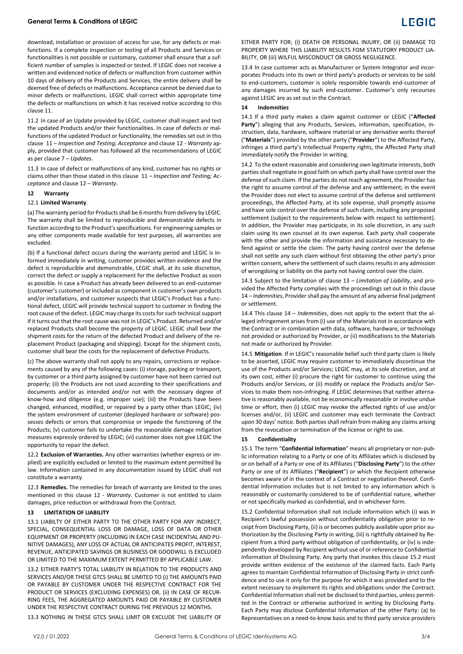# **General Terms & Conditions of LEGIC**

download, installation or provision of access for use, for any defects or malfunctions. If a complete inspection or testing of all Products and Services or functionalities is not possible or customary, customer shall ensure that a sufficient number of samples is inspected or tested. If LEGIC does not receive a written and evidenced notice of defects or malfunction from customer within 10 days of delivery of the Products and Services, the entire delivery shall be deemed free of defects or malfunctions. Acceptance cannot be denied due to minor defects or malfunctions. LEGIC shall correct within appropriate time the defects or malfunctions on which it has received notice according to this claus[e 11.](#page-1-1)

11.2 In case of an Update provided by LEGIC, customer shall inspect and test the updated Products and/or their functionalities. In case of defects or malfunctions of the updated Product or functionality, the remedies set out in this clause [11](#page-1-1) – *Inspection and Testing; Acceptance* and clause 12 - *Warranty* apply, provided that customer has followed all the recommendations of LEGIC as per claus[e 7](#page-1-2) – *Updates*.

11.3 In case of defect or malfunctions of any kind, customer has no rights or claims other than those stated in this clause [11](#page-1-1) *– Inspection and Testing; Acceptance* and clause [12](#page-2-1) – *Warranty*.

# <span id="page-2-1"></span>**12 Warranty**

# 12.1 **Limited Warranty**.

(a) The warranty period for Products shall be 6 months from delivery by LEGIC. The warranty shall be limited to reproducible and demonstrable defects in function according to the Product's specifications. For engineering samples or any other components made available for test purposes, all warranties are excluded.

(b) If a functional defect occurs during the warranty period and LEGIC is informed immediately in writing, customer provides written evidence and the defect is reproducible and demonstrable, LEGIC shall, at its sole discretion, correct the defect or supply a replacement for the defective Product as soon as possible. In case a Product has already been delivered to an end-customer (customer's customer) or included as component in customer's own products and/or installations, and customer suspects that LEGIC's Product has a functional defect, LEGIC will provide technical support to customer in finding the root cause of the defect. LEGIC may charge its costs for such technical support if it turns out that the root cause was not in LEGIC's Product. Returned and/or replaced Products shall become the property of LEGIC. LEGIC shall bear the shipment costs for the return of the defected Product and delivery of the replacement Product (packaging and shipping). Except for the shipment costs, customer shall bear the costs for the replacement of defective Products.

(c) The above warranty shall not apply to any repairs, corrections or replacements caused by any of the following cases: (i) storage, packing or transport, by customer or a third party assigned by customer have not been carried out properly; (ii) the Products are not used according to their specifications and documents and/or as intended and/or not with the necessary degree of know-how and diligence (e.g. improper use); (iii) the Products have been changed, enhanced, modified, or repaired by a party other than LEGIC; (iv) the system environment of customer (deployed hardware or software) possesses defects or errors that compromise or impede the functioning of the Products; (v) customer fails to undertake the reasonable damage mitigation measures expressly ordered by LEGIC; (vi) customer does not give LEGIC the opportunity to repair the defect.

12.2 **Exclusion of Warranties.** Any other warranties (whether express or implied) are explicitly excluded or limited to the maximum extent permitted by law. Information contained in any documentation issued by LEGIC shall not constitute a warranty.

12.3 **Remedies.** The remedies for breach of warranty are limited to the ones mentioned in this clause [12](#page-2-1) - *Warranty*. Customer is not entitled to claim damages, price reduction or withdrawal from the Contract.

### <span id="page-2-2"></span>**13 LIMITATION OF LIABILITY**

13.1 LIABILTY OF EITHER PARTY TO THE OTHER PARTY FOR ANY INDIRECT, SPECIAL, CONSEQUENTIAL LOSS OR DAMAGE, LOSS OF DATA OR OTHER EQUIPMENT OR PROPERTY (INCLUDING IN EACH CASE INCIDENTIAL AND PU-NITIVE DAMAGES), ANY LOSS OF ACTUAL OR ANTICIPATES PROFIT, INTEREST, REVENUE, ANTICIPATED SAVINGS OR BUSINESS OR GOODWILL IS EXCLUDED OR LIMITED TO THE MAXIMUM EXTENT PERMITTED BY APPLICABLE LAW.

13.2 EITHER PARTY'S TOTAL LIABILITY IN RELATION TO THE PRODUCTS AND SERVICES AND/OR THESE GTCS SHALL BE LIMITED TO (i) THE AMOUNTS PAID OR PAYABLE BY CUSTOMER UNDER THE RESPECTIVE CONTRACT FOR THE PRODUCT OR SERVICES (EXCLUDING EXPENSES) OR, (ii) IN CASE OF RECUR-RING FEES, THE AGGREGATED AMOUNTS PAID OR PAYABLE BY CUSTOMER UNDER THE RESPECTIVE CONTRACT DURING THE PREVIOUS 12 MONTHS.

13.3 NOTHING IN THESE GTCS SHALL LIMIT OR EXCLUDE THE LIABILITY OF

EITHER PARTY FOR; (i) DEATH OR PERSONAL INJURY; OR (ii) DAMAGE TO PROPERTY WHERE THIS LIABILITY RESULTS FOM STATUTORY PRODUCT LIA-BILITY, OR (iii) WILFUL MISCONDUCT OR GROSS NEGLIGENCE.

13.4 In case customer acts as Manufacturer or System Integrator and incorporates Products into its own or third party's products or services to be sold to end-customers, customer is solely responsible towards end-customer of any damages incurred by such end-customer. Customer's only recourses against LEGIC are as set out in the Contract.

### <span id="page-2-3"></span><span id="page-2-0"></span>**14 Indemnities**

14.1 If a third party makes a claim against customer or LEGIC ("**Affected Party**") alleging that any Products, Services, information, specification, instruction, data, hardware, software material or any derivative works thereof ("**Materials**") provided by the other party ("**Provider**") to the Affected Party, infringes a third party's Intellectual Property rights, the Affected Party shall immediately notify the Provider in writing.

14.2 To the extent reasonable and considering own legitimate interests, both parties shall negotiate in good faith on which party shall have control over the defense of such claim. If the parties do not reach agreement, the Provider has the right to assume control of the defense and any settlement; in the event the Provider does not elect to assume control of the defense and settlement proceedings, the Affected Party, at its sole expense, shall promptly assume and have sole control over the defense of such claim, including any proposed settlement (subject to the requirements below with respect to settlement). In addition, the Provider may participate, in its sole discretion, in any such claim using its own counsel at its own expense. Each party shall cooperate with the other and provide the information and assistance necessary to defend against or settle the claim. The party having control over the defense shall not settle any such claim without first obtaining the other party's prior written consent, where the settlement of such claims results in any admission of wrongdoing or liability on the party not having control over the claim.

14.3 Subject to the limitation of claus[e 13](#page-2-2) – *Limitation of Liability*, and provided the Affected Party complies with the proceedings set out in this clause [14](#page-2-3) – *Indemnities*, Provider shall pay the amount of any adverse final judgment or settlement.

14.4 This clause [14](#page-2-3) – *Indemnities*, does not apply to the extent that the alleged infringement arises from (i) use of the Materials not in accordance with the Contract or in combination with data, software, hardware, or technology not provided or authorized by Provider, or (ii) modifications to the Materials not made or authorized by Provider.

14.5 **Mitigation**. If in LEGIC's reasonable belief such third party claim is likely to be asserted, LEGIC may require customer to immediately discontinue the use of the Products and/or Services; LEGIC may, at its sole discretion, and at its own cost, either (i) procure the right for customer to continue using the Products and/or Services, or (ii) modify or replace the Products and/or Services to make them non-infringing. If LEGIC determines that neither alternative is reasonably available, not be economically reasonable or involve undue time or effort, then (i) LEGIC may revoke the affected rights of use and/or licenses and/or, (ii) LEGIC and customer may each terminate the Contract upon 30 days' notice. Both parties shall refrain from making any claims arising from the revocation or termination of the license or right to use.

### **15 Confidentiality**

15.1 The term "**Confidential Information**" means all proprietary or non-public information relating to a Party or one of its Affiliates which is disclosed by or on behalf of a Party or one of its Affiliates ("**Disclosing Party**") to the other Party or one of its Affiliates ("**Recipient**") or which the Recipient otherwise becomes aware of in the context of a Contract or negotiation thereof. Confidential Information includes but is not limited to any information which is reasonably or customarily considered to be of confidential nature, whether or not specifically marked as confidential, and in whichever form.

<span id="page-2-4"></span>15.2 Confidential Information shall not include information which (i) was in Recipient's lawful possession without confidentiality obligation prior to receipt from Disclosing Party, (ii) is or becomes publicly available upon prior authorization by the Disclosing Party in writing, (iii) is rightfully obtained by Recipient from a third party without obligation of confidentiality, or (iv) is independently developed by Recipient without use of or reference to Confidential Information of Disclosing Party. Any party that invokes this claus[e 15.2](#page-2-4) must provide written evidence of the existence of the claimed facts. Each Party agrees to maintain Confidential Information of Disclosing Party in strict confidence and to use it only for the purpose for which it was provided and to the extent necessary to implement its rights and obligations under the Contract. Confidential Information shall not be disclosed to third parties, unless permitted in the Contract or otherwise authorized in writing by Disclosing Party. Each Party may disclose Confidential Information of the other Party: (a) to Representatives on a need-to-know basis and to third party service providers